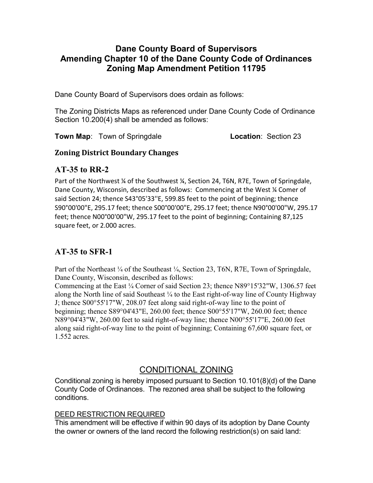### Dane County Board of Supervisors Amending Chapter 10 of the Dane County Code of Ordinances Zoning Map Amendment Petition 11795

Dane County Board of Supervisors does ordain as follows:

The Zoning Districts Maps as referenced under Dane County Code of Ordinance Section 10.200(4) shall be amended as follows:

**Town Map:** Town of Springdale **Location:** Section 23

### Zoning District Boundary Changes

### AT-35 to RR-2

Part of the Northwest ¼ of the Southwest ¼, Section 24, T6N, R7E, Town of Springdale, Dane County, Wisconsin, described as follows: Commencing at the West ¼ Comer of said Section 24; thence S43°05'33''E, 599.85 feet to the point of beginning; thence S90°00'00"E, 295.17 feet; thence S00°00'00"E, 295.17 feet; thence N90°00'00"W, 295.17 feet; thence N00°00'00"W, 295.17 feet to the point of beginning; Containing 87,125 square feet, or 2.000 acres.

## AT-35 to SFR-1

Part of the Northeast ¼ of the Southeast ¼, Section 23, T6N, R7E, Town of Springdale, Dane County, Wisconsin, described as follows:

Commencing at the East ¼ Corner of said Section 23; thence N89°15'32"W, 1306.57 feet along the North line of said Southeast  $\frac{1}{4}$  to the East right-of-way line of County Highway J; thence S00°55'17"W, 208.07 feet along said right-of-way line to the point of beginning; thence S89°04'43"E, 260.00 feet; thence S00°55'17"W, 260.00 feet; thence N89°04'43"W, 260.00 feet to said right-of-way line; thence N00°55'17"E, 260.00 feet along said right-of-way line to the point of beginning; Containing 67,600 square feet, or 1.552 acres.

# CONDITIONAL ZONING

Conditional zoning is hereby imposed pursuant to Section 10.101(8)(d) of the Dane County Code of Ordinances. The rezoned area shall be subject to the following conditions.

#### DEED RESTRICTION REQUIRED

This amendment will be effective if within 90 days of its adoption by Dane County the owner or owners of the land record the following restriction(s) on said land: